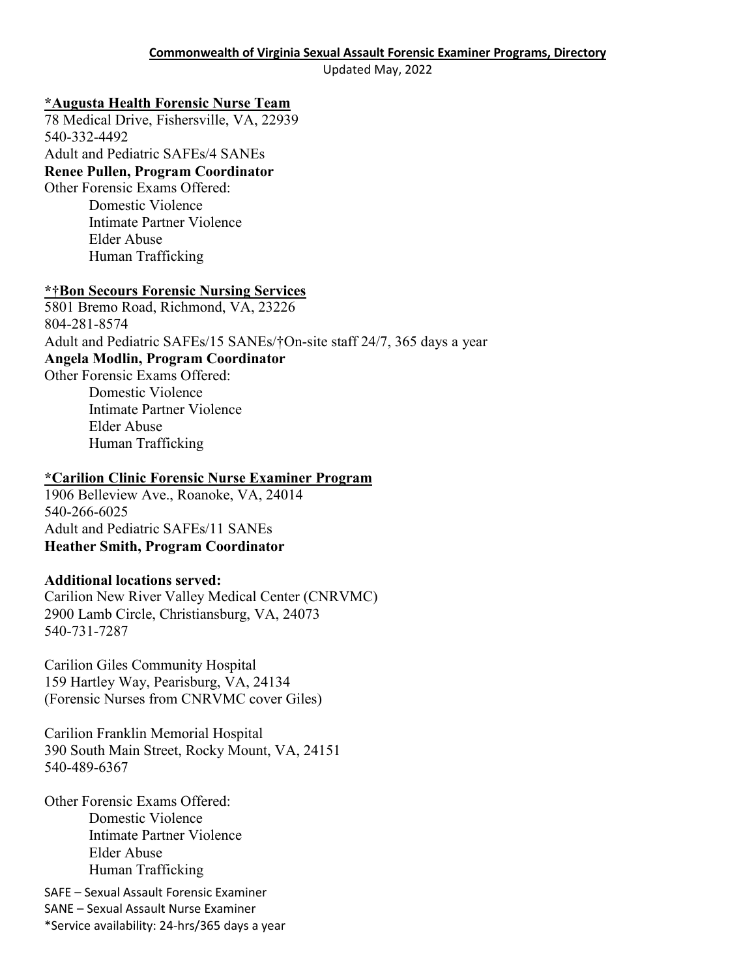Updated May, 2022

#### **\*Augusta Health Forensic Nurse Team**

78 Medical Drive, Fishersville, VA, 22939 540-332-4492 Adult and Pediatric SAFEs/4 SANEs

# **Renee Pullen, Program Coordinator**

Other Forensic Exams Offered:

Domestic Violence Intimate Partner Violence Elder Abuse Human Trafficking

#### **\*†Bon Secours Forensic Nursing Services**

5801 Bremo Road, Richmond, VA, 23226 804-281-8574 Adult and Pediatric SAFEs/15 SANEs/†On-site staff 24/7, 365 days a year **Angela Modlin, Program Coordinator**  Other Forensic Exams Offered: Domestic Violence Intimate Partner Violence Elder Abuse Human Trafficking

#### **\*Carilion Clinic Forensic Nurse Examiner Program**

1906 Belleview Ave., Roanoke, VA, 24014 540-266-6025 Adult and Pediatric SAFEs/11 SANEs **Heather Smith, Program Coordinator**

## **Additional locations served:**

Carilion New River Valley Medical Center (CNRVMC) 2900 Lamb Circle, Christiansburg, VA, 24073 540-731-7287

Carilion Giles Community Hospital 159 Hartley Way, Pearisburg, VA, 24134 (Forensic Nurses from CNRVMC cover Giles)

Carilion Franklin Memorial Hospital 390 South Main Street, Rocky Mount, VA, 24151 540-489-6367

Other Forensic Exams Offered: Domestic Violence Intimate Partner Violence Elder Abuse Human Trafficking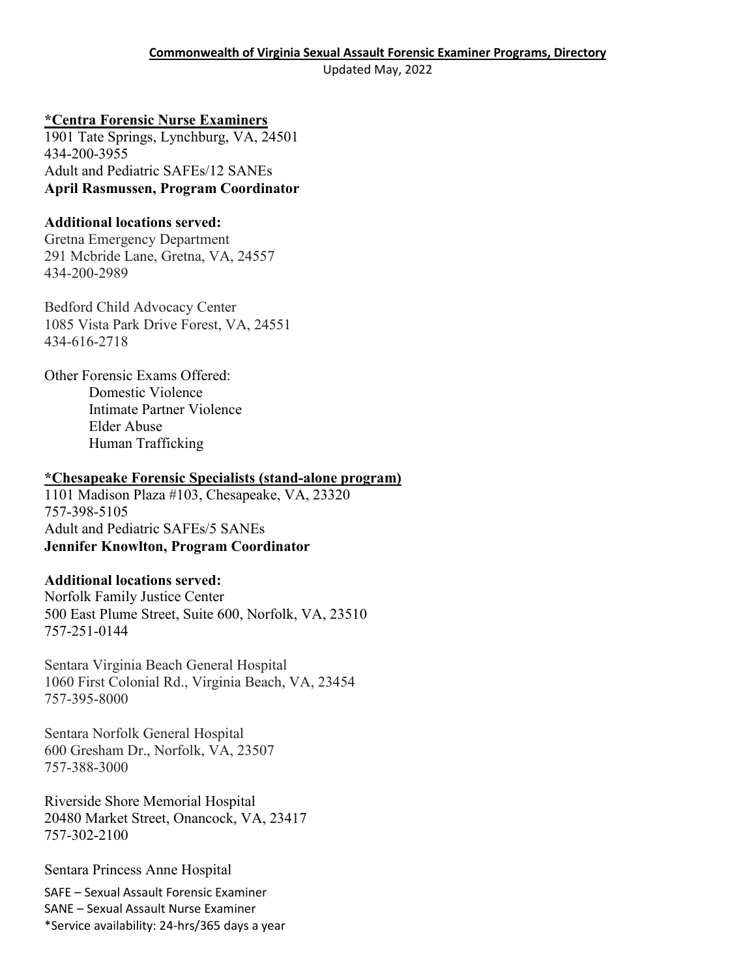#### **\*Centra Forensic Nurse Examiners**

1901 Tate Springs, Lynchburg, VA, 24501 434-200-3955 Adult and Pediatric SAFEs/12 SANEs **April Rasmussen, Program Coordinator** 

#### **Additional locations served:**

Gretna Emergency Department 291 Mcbride Lane, Gretna, VA, 24557 434-200-2989

Bedford Child Advocacy Center 1085 Vista Park Drive Forest, VA, 24551 434-616-2718

Other Forensic Exams Offered: Domestic Violence Intimate Partner Violence Elder Abuse Human Trafficking

#### **\*Chesapeake Forensic Specialists (stand-alone program)**

1101 Madison Plaza #103, Chesapeake, VA, 23320 757-398-5105 Adult and Pediatric SAFEs/5 SANEs **Jennifer Knowlton, Program Coordinator** 

## **Additional locations served:**

Norfolk Family Justice Center 500 East Plume Street, Suite 600, Norfolk, VA, 23510 757-251-0144

Sentara Virginia Beach General Hospital 1060 First Colonial Rd., Virginia Beach, VA, 23454 757-395-8000

Sentara Norfolk General Hospital 600 Gresham Dr., Norfolk, VA, 23507 757-388-3000

Riverside Shore Memorial Hospital 20480 Market Street, Onancock, VA, 23417 757-302-2100

Sentara Princess Anne Hospital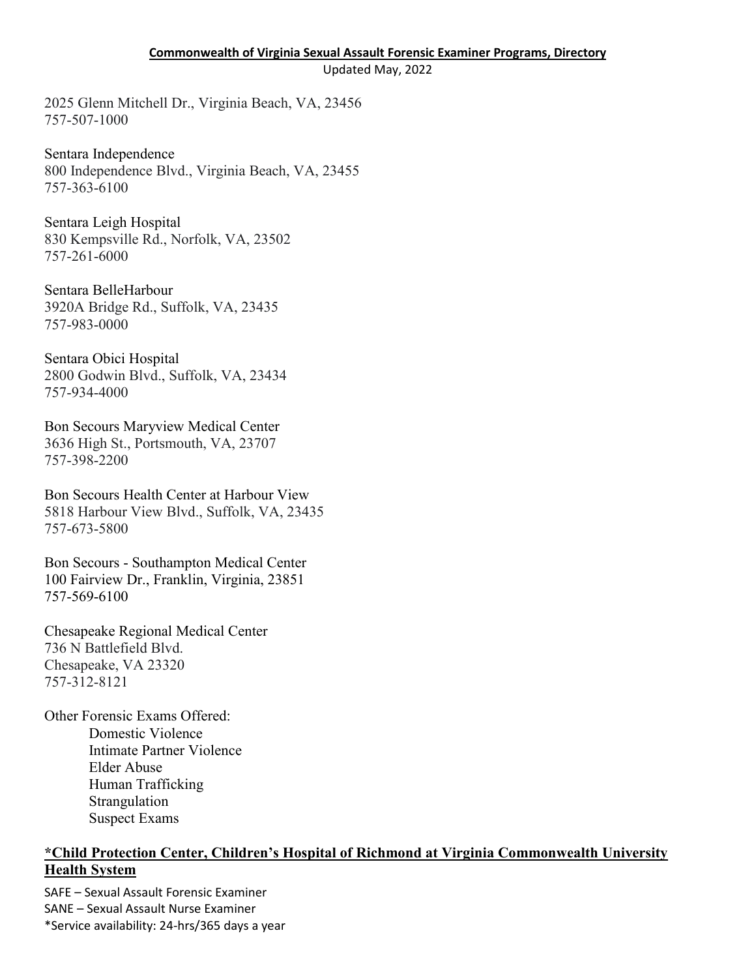#### **Commonwealth of Virginia Sexual Assault Forensic Examiner Programs, Directory**

Updated May, 2022

2025 Glenn Mitchell Dr., Virginia Beach, VA, 23456 757-507-1000

Sentara Independence 800 Independence Blvd., Virginia Beach, VA, 23455 757-363-6100

Sentara Leigh Hospital 830 Kempsville Rd., Norfolk, VA, 23502 757-261-6000

Sentara BelleHarbour 3920A Bridge Rd., Suffolk, VA, 23435 757-983-0000

Sentara Obici Hospital 2800 Godwin Blvd., Suffolk, VA, 23434 757-934-4000

Bon Secours Maryview Medical Center 3636 High St., Portsmouth, VA, 23707 757-398-2200

Bon Secours Health Center at Harbour View 5818 Harbour View Blvd., Suffolk, VA, 23435 757-673-5800

Bon Secours - Southampton Medical Center 100 Fairview Dr., Franklin, Virginia, 23851 757-569-6100

Chesapeake Regional Medical Center 736 N Battlefield Blvd. Chesapeake, VA 23320 757-312-8121

Other Forensic Exams Offered: Domestic Violence Intimate Partner Violence Elder Abuse Human Trafficking Strangulation Suspect Exams

#### **\*Child Protection Center, Children's Hospital of Richmond at Virginia Commonwealth University Health System**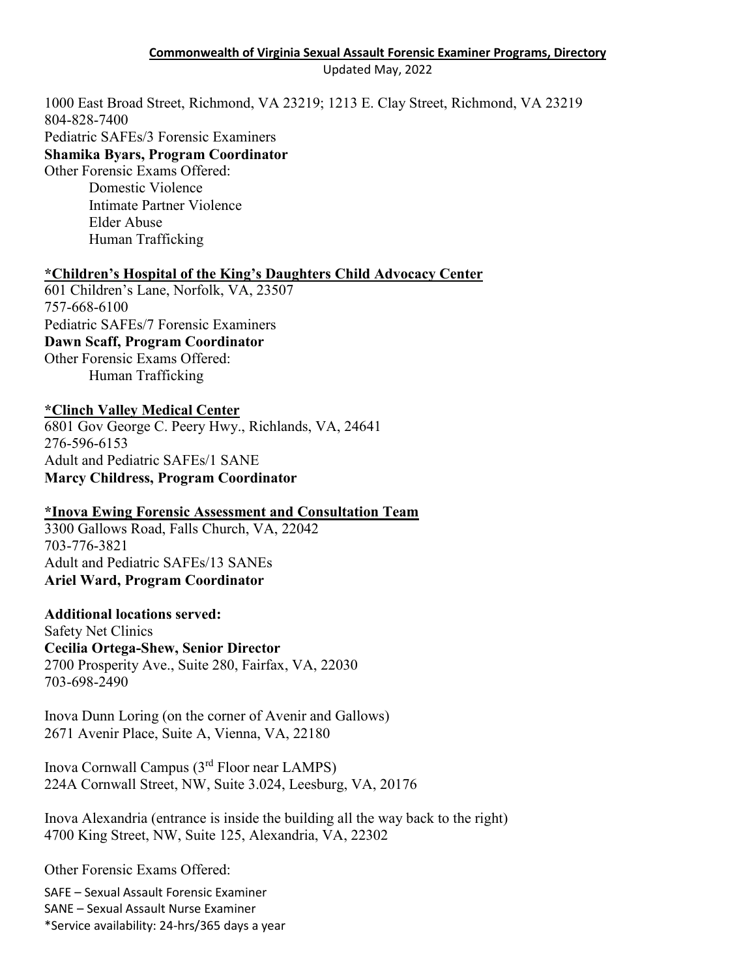#### **Commonwealth of Virginia Sexual Assault Forensic Examiner Programs, Directory** Updated May, 2022

1000 East Broad Street, Richmond, VA 23219; 1213 E. Clay Street, Richmond, VA 23219 804-828-7400

Pediatric SAFEs/3 Forensic Examiners

#### **Shamika Byars, Program Coordinator**

Other Forensic Exams Offered: Domestic Violence Intimate Partner Violence Elder Abuse Human Trafficking

#### **\*Children's Hospital of the King's Daughters Child Advocacy Center**

601 Children's Lane, Norfolk, VA, 23507 757-668-6100 Pediatric SAFEs/7 Forensic Examiners **Dawn Scaff, Program Coordinator**  Other Forensic Exams Offered: Human Trafficking

#### **\*Clinch Valley Medical Center**

6801 Gov George C. Peery Hwy., Richlands, VA, 24641 276-596-6153 Adult and Pediatric SAFEs/1 SANE **Marcy Childress, Program Coordinator**

## **\*Inova Ewing Forensic Assessment and Consultation Team**

3300 Gallows Road, Falls Church, VA, 22042 703-776-3821 Adult and Pediatric SAFEs/13 SANEs **Ariel Ward, Program Coordinator** 

#### **Additional locations served:**

Safety Net Clinics **Cecilia Ortega-Shew, Senior Director**  2700 Prosperity Ave., Suite 280, Fairfax, VA, 22030 703-698-2490

Inova Dunn Loring (on the corner of Avenir and Gallows) 2671 Avenir Place, Suite A, Vienna, VA, 22180

Inova Cornwall Campus (3rd Floor near LAMPS) 224A Cornwall Street, NW, Suite 3.024, Leesburg, VA, 20176

Inova Alexandria (entrance is inside the building all the way back to the right) 4700 King Street, NW, Suite 125, Alexandria, VA, 22302

Other Forensic Exams Offered: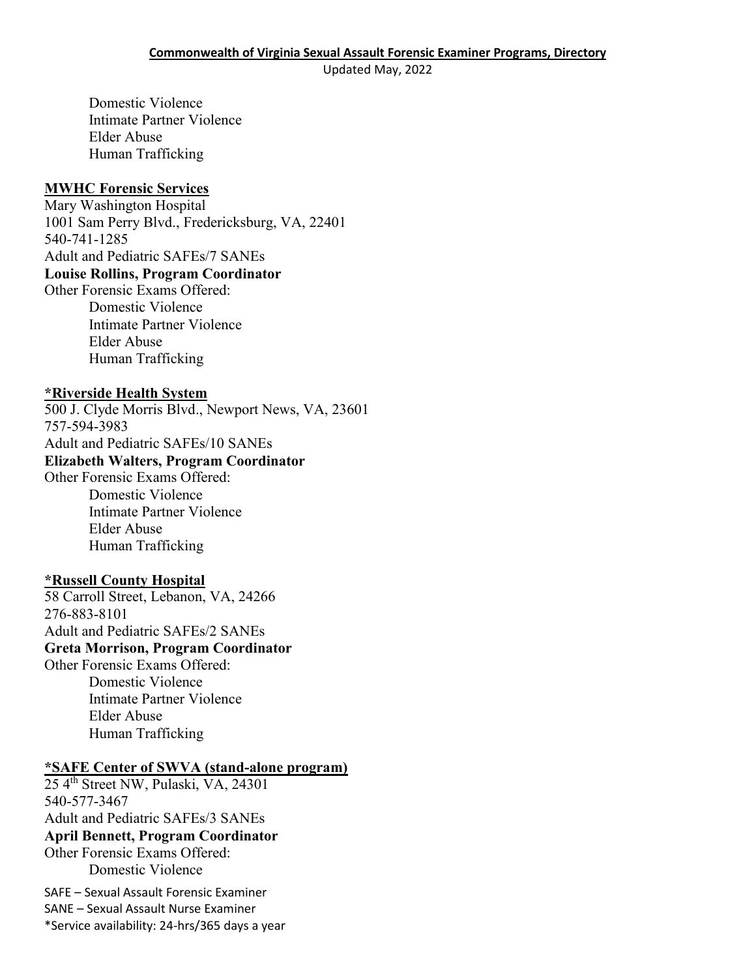Updated May, 2022

Domestic Violence Intimate Partner Violence Elder Abuse Human Trafficking

#### **MWHC Forensic Services**

Mary Washington Hospital 1001 Sam Perry Blvd., Fredericksburg, VA, 22401 540-741-1285 Adult and Pediatric SAFEs/7 SANEs **Louise Rollins, Program Coordinator**  Other Forensic Exams Offered:

Domestic Violence Intimate Partner Violence Elder Abuse Human Trafficking

#### **\*Riverside Health System**

500 J. Clyde Morris Blvd., Newport News, VA, 23601 757-594-3983 Adult and Pediatric SAFEs/10 SANEs

#### **Elizabeth Walters, Program Coordinator**

Other Forensic Exams Offered: Domestic Violence Intimate Partner Violence Elder Abuse Human Trafficking

## **\*Russell County Hospital**

58 Carroll Street, Lebanon, VA, 24266 276-883-8101 Adult and Pediatric SAFEs/2 SANEs **Greta Morrison, Program Coordinator**  Other Forensic Exams Offered: Domestic Violence

Intimate Partner Violence Elder Abuse Human Trafficking

#### **\*SAFE Center of SWVA (stand-alone program)**

25 4th Street NW, Pulaski, VA, 24301 540-577-3467 Adult and Pediatric SAFEs/3 SANEs **April Bennett, Program Coordinator**  Other Forensic Exams Offered: Domestic Violence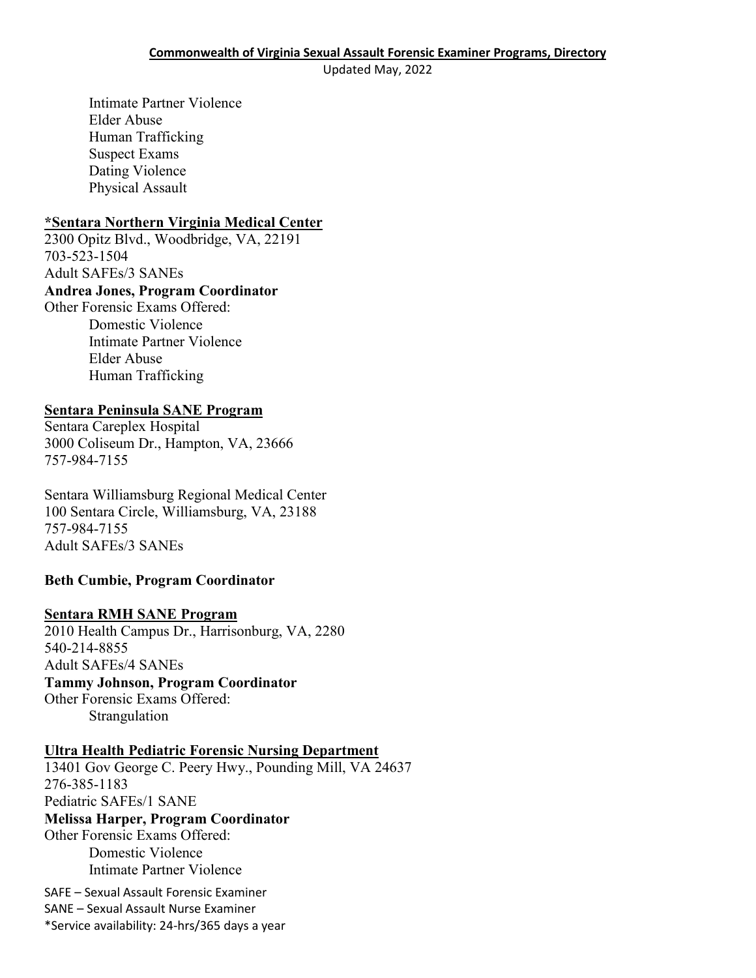Updated May, 2022

Intimate Partner Violence Elder Abuse Human Trafficking Suspect Exams Dating Violence Physical Assault

#### **\*Sentara Northern Virginia Medical Center**

2300 Opitz Blvd., Woodbridge, VA, 22191 703-523-1504 Adult SAFEs/3 SANEs **Andrea Jones, Program Coordinator** 

Other Forensic Exams Offered: Domestic Violence Intimate Partner Violence Elder Abuse Human Trafficking

## **Sentara Peninsula SANE Program**

Sentara Careplex Hospital 3000 Coliseum Dr., Hampton, VA, 23666 757-984-7155

Sentara Williamsburg Regional Medical Center 100 Sentara Circle, Williamsburg, VA, 23188 757-984-7155 Adult SAFEs/3 SANEs

## **Beth Cumbie, Program Coordinator**

#### **Sentara RMH SANE Program**

2010 Health Campus Dr., Harrisonburg, VA, 2280 540-214-8855 Adult SAFEs/4 SANEs **Tammy Johnson, Program Coordinator**  Other Forensic Exams Offered: Strangulation

## **Ultra Health Pediatric Forensic Nursing Department**

SAFE – Sexual Assault Forensic Examiner 13401 Gov George C. Peery Hwy., Pounding Mill, VA 24637 276-385-1183 Pediatric SAFEs/1 SANE **Melissa Harper, Program Coordinator** Other Forensic Exams Offered: Domestic Violence Intimate Partner Violence

SANE – Sexual Assault Nurse Examiner \*Service availability: 24-hrs/365 days a year